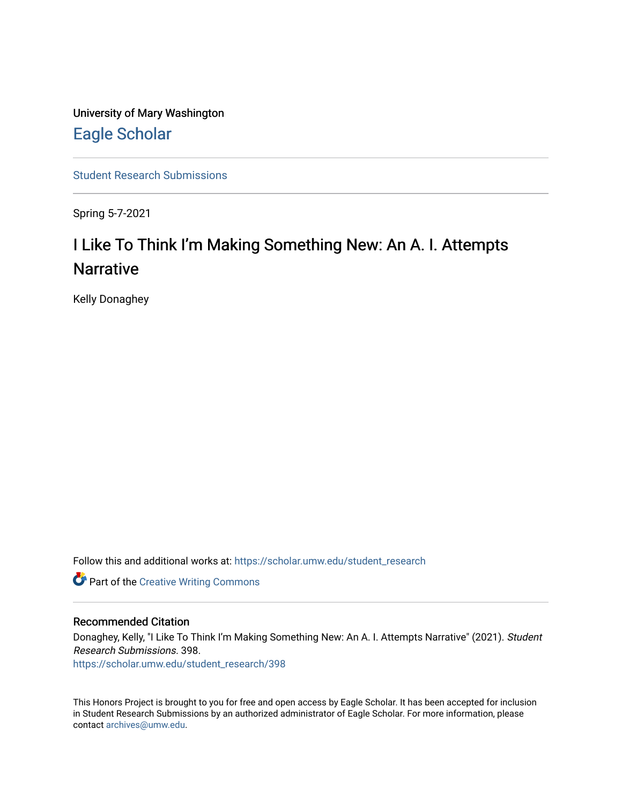University of Mary Washington [Eagle Scholar](https://scholar.umw.edu/) 

[Student Research Submissions](https://scholar.umw.edu/student_research) 

Spring 5-7-2021

# I Like To Think I'm Making Something New: An A. I. Attempts **Narrative**

Kelly Donaghey

Follow this and additional works at: [https://scholar.umw.edu/student\\_research](https://scholar.umw.edu/student_research?utm_source=scholar.umw.edu%2Fstudent_research%2F398&utm_medium=PDF&utm_campaign=PDFCoverPages)

**Part of the Creative Writing Commons** 

# Recommended Citation

Donaghey, Kelly, "I Like To Think I'm Making Something New: An A. I. Attempts Narrative" (2021). Student Research Submissions. 398.

[https://scholar.umw.edu/student\\_research/398](https://scholar.umw.edu/student_research/398?utm_source=scholar.umw.edu%2Fstudent_research%2F398&utm_medium=PDF&utm_campaign=PDFCoverPages)

This Honors Project is brought to you for free and open access by Eagle Scholar. It has been accepted for inclusion in Student Research Submissions by an authorized administrator of Eagle Scholar. For more information, please contact [archives@umw.edu](mailto:archives@umw.edu).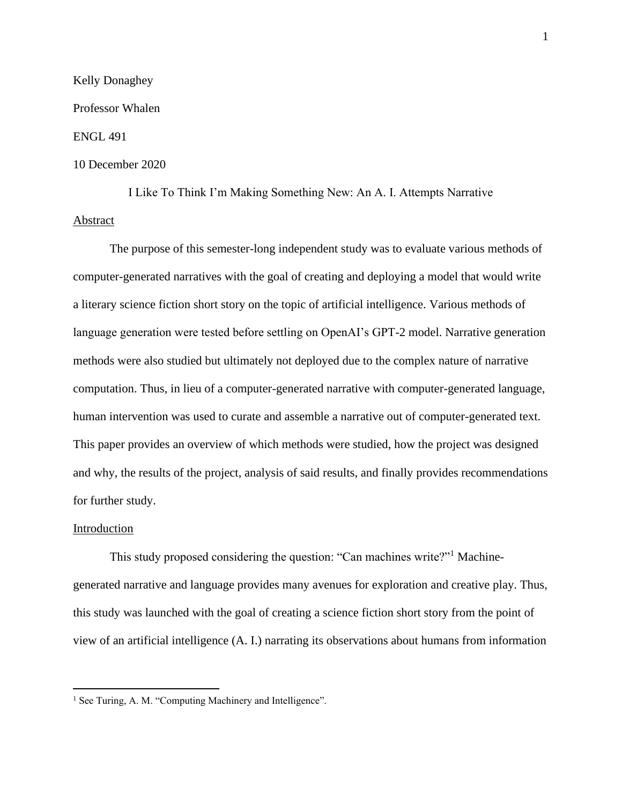### Kelly Donaghey

#### Professor Whalen

#### ENGL 491

#### 10 December 2020

I Like To Think I'm Making Something New: An A. I. Attempts Narrative Abstract

The purpose of this semester-long independent study was to evaluate various methods of computer-generated narratives with the goal of creating and deploying a model that would write a literary science fiction short story on the topic of artificial intelligence. Various methods of language generation were tested before settling on OpenAI's GPT-2 model. Narrative generation methods were also studied but ultimately not deployed due to the complex nature of narrative computation. Thus, in lieu of a computer-generated narrative with computer-generated language, human intervention was used to curate and assemble a narrative out of computer-generated text. This paper provides an overview of which methods were studied, how the project was designed and why, the results of the project, analysis of said results, and finally provides recommendations for further study.

## Introduction

This study proposed considering the question: "Can machines write?"<sup>1</sup> Machinegenerated narrative and language provides many avenues for exploration and creative play. Thus, this study was launched with the goal of creating a science fiction short story from the point of view of an artificial intelligence (A. I.) narrating its observations about humans from information

<sup>&</sup>lt;sup>1</sup> See Turing, A. M. "Computing Machinery and Intelligence".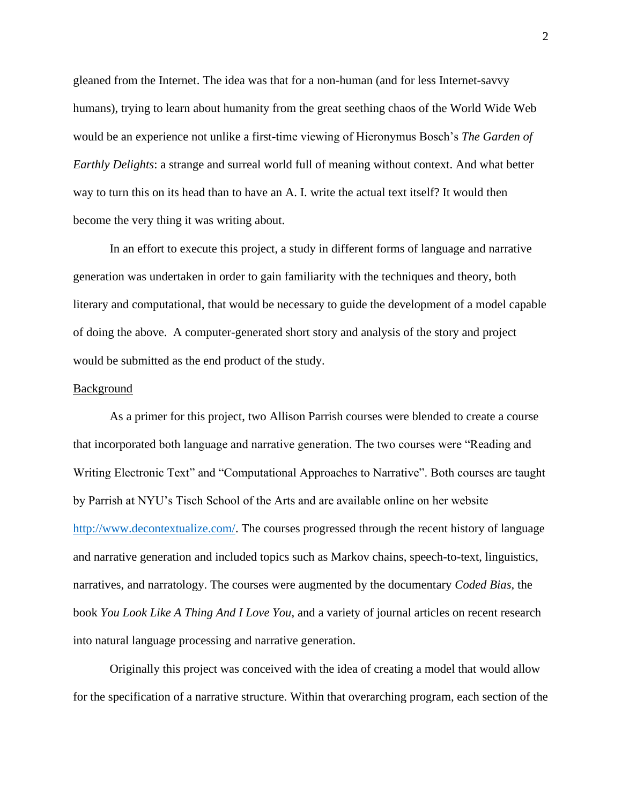gleaned from the Internet. The idea was that for a non-human (and for less Internet-savvy humans), trying to learn about humanity from the great seething chaos of the World Wide Web would be an experience not unlike a first-time viewing of Hieronymus Bosch's *The Garden of Earthly Delights*: a strange and surreal world full of meaning without context. And what better way to turn this on its head than to have an A. I. write the actual text itself? It would then become the very thing it was writing about.

In an effort to execute this project, a study in different forms of language and narrative generation was undertaken in order to gain familiarity with the techniques and theory, both literary and computational, that would be necessary to guide the development of a model capable of doing the above. A computer-generated short story and analysis of the story and project would be submitted as the end product of the study.

#### Background

As a primer for this project, two Allison Parrish courses were blended to create a course that incorporated both language and narrative generation. The two courses were "Reading and Writing Electronic Text" and "Computational Approaches to Narrative". Both courses are taught by Parrish at NYU's Tisch School of the Arts and are available online on her website [http://www.decontextualize.com/.](http://www.decontextualize.com/) The courses progressed through the recent history of language and narrative generation and included topics such as Markov chains, speech-to-text, linguistics, narratives, and narratology. The courses were augmented by the documentary *Coded Bias,* the book *You Look Like A Thing And I Love You*, and a variety of journal articles on recent research into natural language processing and narrative generation.

Originally this project was conceived with the idea of creating a model that would allow for the specification of a narrative structure. Within that overarching program, each section of the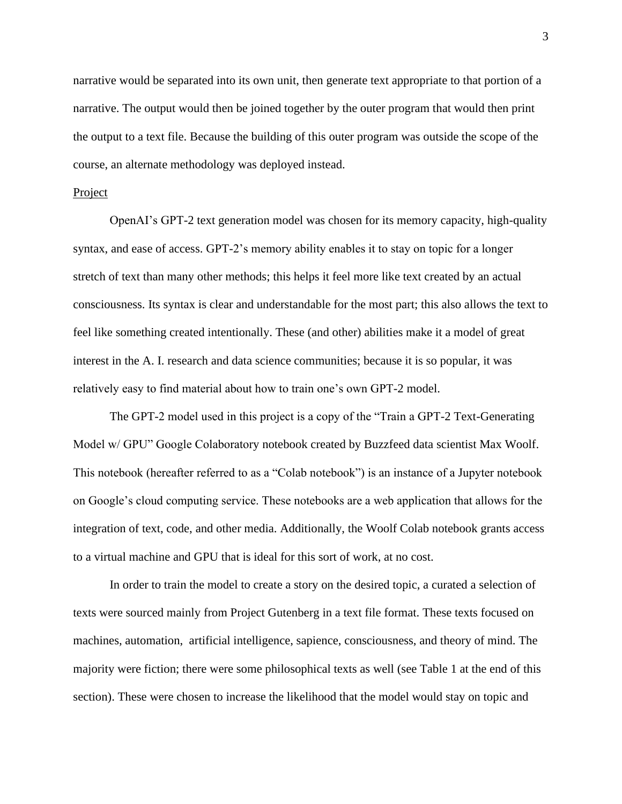narrative would be separated into its own unit, then generate text appropriate to that portion of a narrative. The output would then be joined together by the outer program that would then print the output to a text file. Because the building of this outer program was outside the scope of the course, an alternate methodology was deployed instead.

#### Project

OpenAI's GPT-2 text generation model was chosen for its memory capacity, high-quality syntax, and ease of access. GPT-2's memory ability enables it to stay on topic for a longer stretch of text than many other methods; this helps it feel more like text created by an actual consciousness. Its syntax is clear and understandable for the most part; this also allows the text to feel like something created intentionally. These (and other) abilities make it a model of great interest in the A. I. research and data science communities; because it is so popular, it was relatively easy to find material about how to train one's own GPT-2 model.

The GPT-2 model used in this project is a copy of the "Train a GPT-2 Text-Generating Model w/ GPU" Google Colaboratory notebook created by Buzzfeed data scientist Max Woolf. This notebook (hereafter referred to as a "Colab notebook") is an instance of a Jupyter notebook on Google's cloud computing service. These notebooks are a web application that allows for the integration of text, code, and other media. Additionally, the Woolf Colab notebook grants access to a virtual machine and GPU that is ideal for this sort of work, at no cost.

In order to train the model to create a story on the desired topic, a curated a selection of texts were sourced mainly from Project Gutenberg in a text file format. These texts focused on machines, automation, artificial intelligence, sapience, consciousness, and theory of mind. The majority were fiction; there were some philosophical texts as well (see Table 1 at the end of this section). These were chosen to increase the likelihood that the model would stay on topic and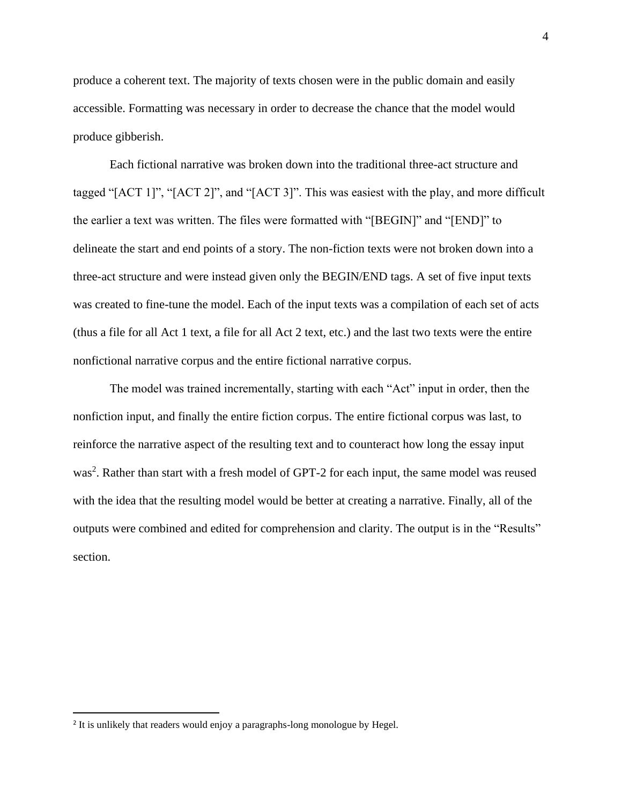produce a coherent text. The majority of texts chosen were in the public domain and easily accessible. Formatting was necessary in order to decrease the chance that the model would produce gibberish.

Each fictional narrative was broken down into the traditional three-act structure and tagged "[ACT 1]", "[ACT 2]", and "[ACT 3]". This was easiest with the play, and more difficult the earlier a text was written. The files were formatted with "[BEGIN]" and "[END]" to delineate the start and end points of a story. The non-fiction texts were not broken down into a three-act structure and were instead given only the BEGIN/END tags. A set of five input texts was created to fine-tune the model. Each of the input texts was a compilation of each set of acts (thus a file for all Act 1 text, a file for all Act 2 text, etc.) and the last two texts were the entire nonfictional narrative corpus and the entire fictional narrative corpus.

The model was trained incrementally, starting with each "Act" input in order, then the nonfiction input, and finally the entire fiction corpus. The entire fictional corpus was last, to reinforce the narrative aspect of the resulting text and to counteract how long the essay input was<sup>2</sup>. Rather than start with a fresh model of GPT-2 for each input, the same model was reused with the idea that the resulting model would be better at creating a narrative. Finally, all of the outputs were combined and edited for comprehension and clarity. The output is in the "Results" section.

<sup>&</sup>lt;sup>2</sup> It is unlikely that readers would enjoy a paragraphs-long monologue by Hegel.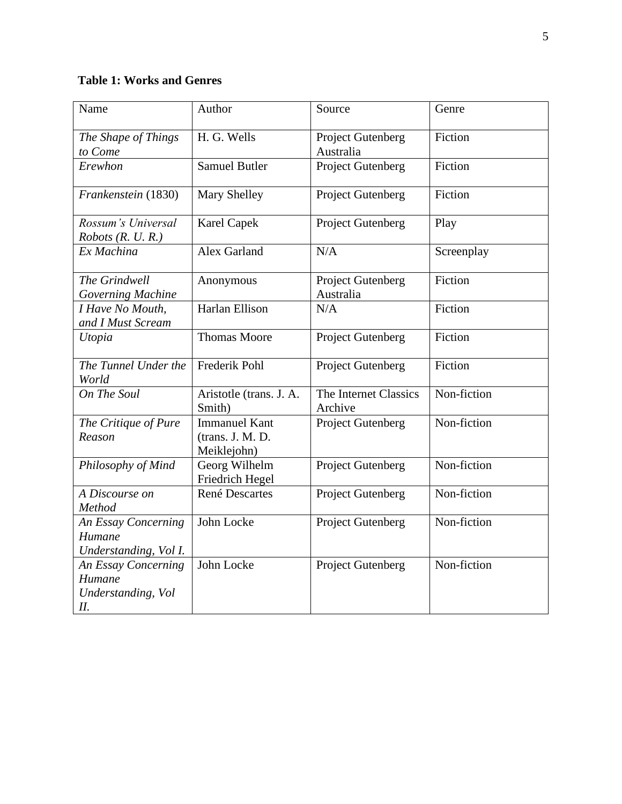# **Table 1: Works and Genres**

| Name                                                      | Author                                                  | Source                                | Genre       |
|-----------------------------------------------------------|---------------------------------------------------------|---------------------------------------|-------------|
| The Shape of Things<br>to Come                            | H. G. Wells                                             | Project Gutenberg<br>Australia        | Fiction     |
| Erewhon                                                   | <b>Samuel Butler</b>                                    | <b>Project Gutenberg</b>              | Fiction     |
| Frankenstein (1830)                                       | <b>Mary Shelley</b>                                     | <b>Project Gutenberg</b>              | Fiction     |
| Rossum's Universal<br>Robots (R. U. R.)                   | <b>Karel Capek</b>                                      | <b>Project Gutenberg</b>              | Play        |
| Ex Machina                                                | <b>Alex Garland</b>                                     | N/A                                   | Screenplay  |
| The Grindwell<br>Governing Machine                        | Anonymous                                               | <b>Project Gutenberg</b><br>Australia | Fiction     |
| I Have No Mouth,<br>and I Must Scream                     | Harlan Ellison                                          | N/A                                   | Fiction     |
| Utopia                                                    | <b>Thomas Moore</b>                                     | <b>Project Gutenberg</b>              | Fiction     |
| The Tunnel Under the<br>World                             | Frederik Pohl                                           | <b>Project Gutenberg</b>              | Fiction     |
| On The Soul                                               | Aristotle (trans. J. A.<br>Smith)                       | The Internet Classics<br>Archive      | Non-fiction |
| The Critique of Pure<br>Reason                            | <b>Immanuel Kant</b><br>(trans. J. M. D.<br>Meiklejohn) | <b>Project Gutenberg</b>              | Non-fiction |
| Philosophy of Mind                                        | Georg Wilhelm<br>Friedrich Hegel                        | <b>Project Gutenberg</b>              | Non-fiction |
| A Discourse on<br>Method                                  | René Descartes                                          | <b>Project Gutenberg</b>              | Non-fiction |
| An Essay Concerning<br>Humane<br>Understanding, Vol I.    | John Locke                                              | Project Gutenberg                     | Non-fiction |
| An Essay Concerning<br>Humane<br>Understanding, Vol<br>П. | John Locke                                              | <b>Project Gutenberg</b>              | Non-fiction |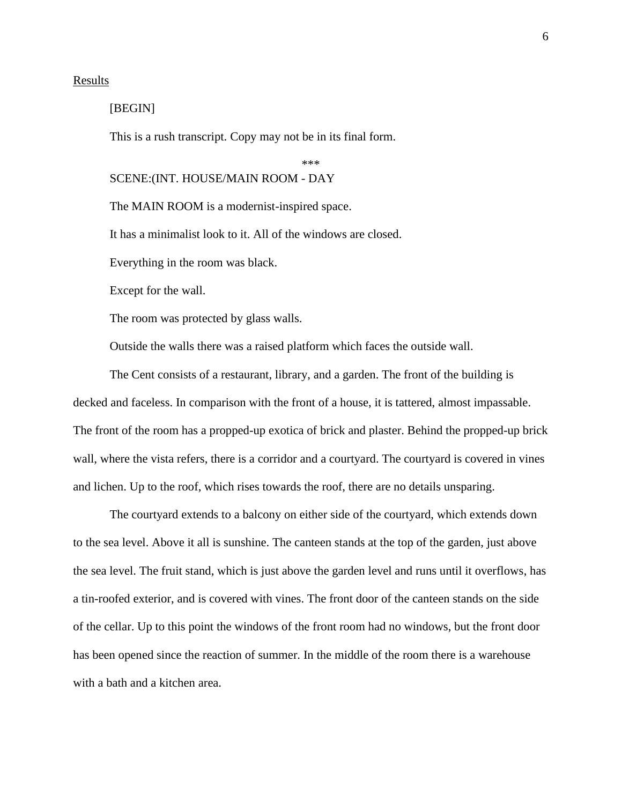# **Results**

# [BEGIN]

This is a rush transcript. Copy may not be in its final form.

\*\*\*

# SCENE:(INT. HOUSE/MAIN ROOM - DAY

The MAIN ROOM is a modernist-inspired space.

It has a minimalist look to it. All of the windows are closed.

Everything in the room was black.

Except for the wall.

The room was protected by glass walls.

Outside the walls there was a raised platform which faces the outside wall.

The Cent consists of a restaurant, library, and a garden. The front of the building is decked and faceless. In comparison with the front of a house, it is tattered, almost impassable. The front of the room has a propped-up exotica of brick and plaster. Behind the propped-up brick wall, where the vista refers, there is a corridor and a courtyard. The courtyard is covered in vines and lichen. Up to the roof, which rises towards the roof, there are no details unsparing.

The courtyard extends to a balcony on either side of the courtyard, which extends down to the sea level. Above it all is sunshine. The canteen stands at the top of the garden, just above the sea level. The fruit stand, which is just above the garden level and runs until it overflows, has a tin-roofed exterior, and is covered with vines. The front door of the canteen stands on the side of the cellar. Up to this point the windows of the front room had no windows, but the front door has been opened since the reaction of summer. In the middle of the room there is a warehouse with a bath and a kitchen area.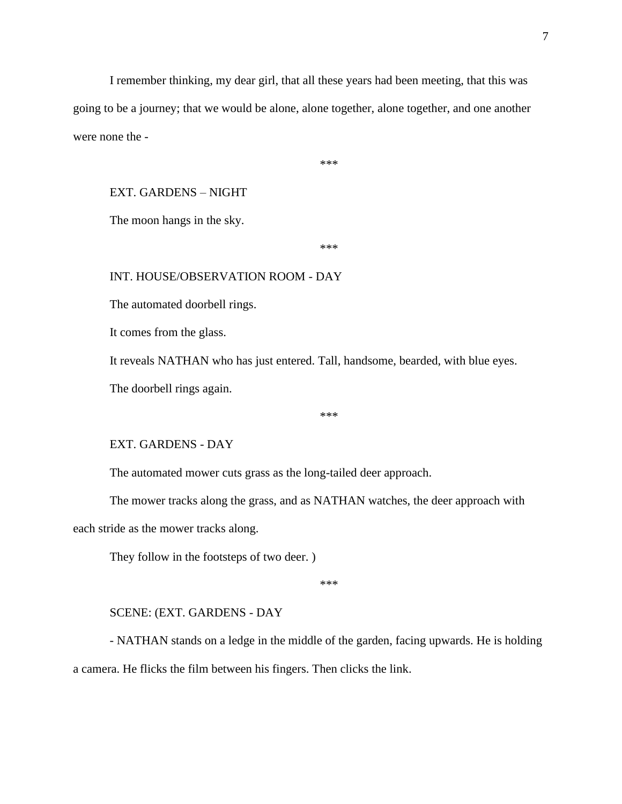I remember thinking, my dear girl, that all these years had been meeting, that this was going to be a journey; that we would be alone, alone together, alone together, and one another were none the -

\*\*\*

# EXT. GARDENS – NIGHT

The moon hangs in the sky.

\*\*\*

# INT. HOUSE/OBSERVATION ROOM - DAY

The automated doorbell rings.

It comes from the glass.

It reveals NATHAN who has just entered. Tall, handsome, bearded, with blue eyes.

The doorbell rings again.

\*\*\*

# EXT. GARDENS - DAY

The automated mower cuts grass as the long-tailed deer approach.

The mower tracks along the grass, and as NATHAN watches, the deer approach with each stride as the mower tracks along.

They follow in the footsteps of two deer. )

\*\*\*

#### SCENE: (EXT. GARDENS - DAY

- NATHAN stands on a ledge in the middle of the garden, facing upwards. He is holding a camera. He flicks the film between his fingers. Then clicks the link.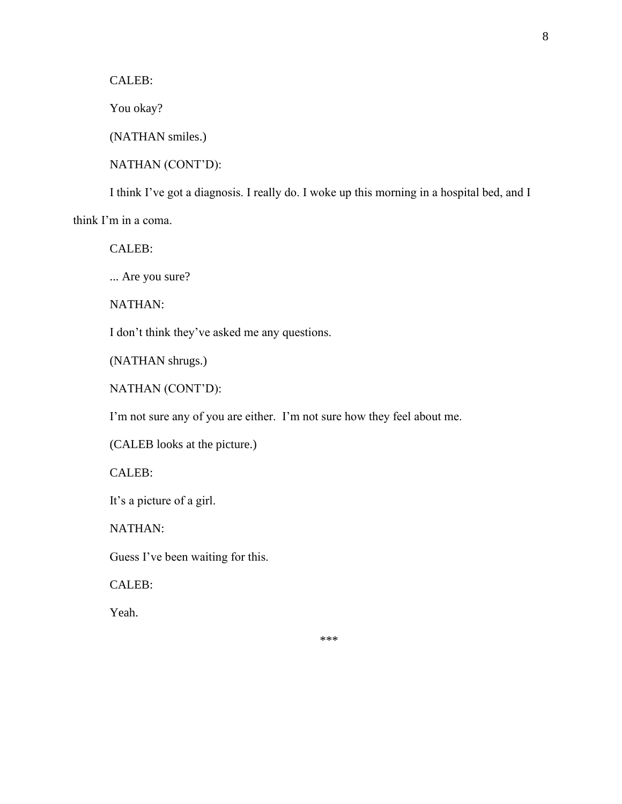CALEB:

You okay?

(NATHAN smiles.)

NATHAN (CONT'D):

I think I've got a diagnosis. I really do. I woke up this morning in a hospital bed, and I think I'm in a coma.

CALEB:

... Are you sure?

NATHAN:

I don't think they've asked me any questions.

(NATHAN shrugs.)

NATHAN (CONT'D):

I'm not sure any of you are either. I'm not sure how they feel about me.

(CALEB looks at the picture.)

CALEB:

It's a picture of a girl.

NATHAN:

Guess I've been waiting for this.

CALEB:

Yeah.

\*\*\*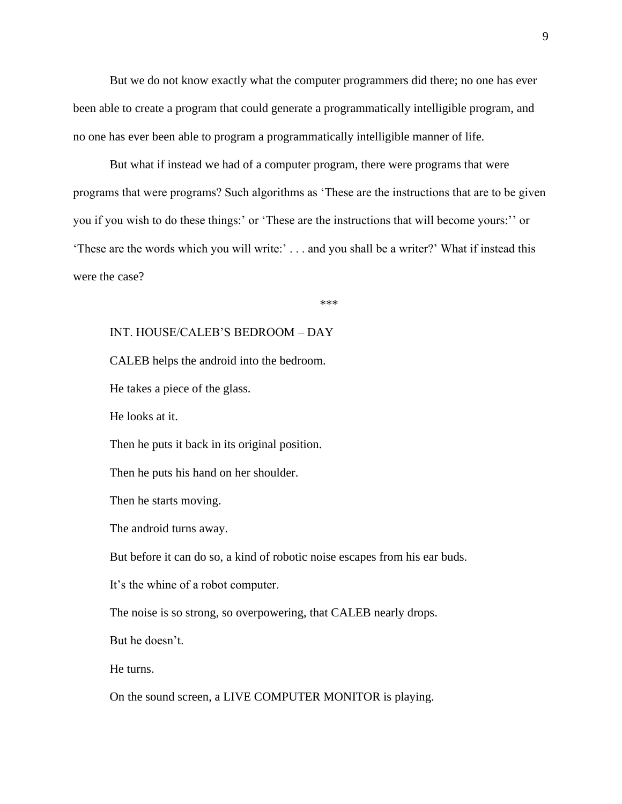But we do not know exactly what the computer programmers did there; no one has ever been able to create a program that could generate a programmatically intelligible program, and no one has ever been able to program a programmatically intelligible manner of life.

But what if instead we had of a computer program, there were programs that were programs that were programs? Such algorithms as 'These are the instructions that are to be given you if you wish to do these things:' or 'These are the instructions that will become yours:'' or 'These are the words which you will write:' . . . and you shall be a writer?' What if instead this were the case?

\*\*\*

# INT. HOUSE/CALEB'S BEDROOM – DAY

CALEB helps the android into the bedroom.

He takes a piece of the glass.

He looks at it.

Then he puts it back in its original position.

Then he puts his hand on her shoulder.

Then he starts moving.

The android turns away.

But before it can do so, a kind of robotic noise escapes from his ear buds.

It's the whine of a robot computer.

The noise is so strong, so overpowering, that CALEB nearly drops.

But he doesn't.

He turns.

On the sound screen, a LIVE COMPUTER MONITOR is playing.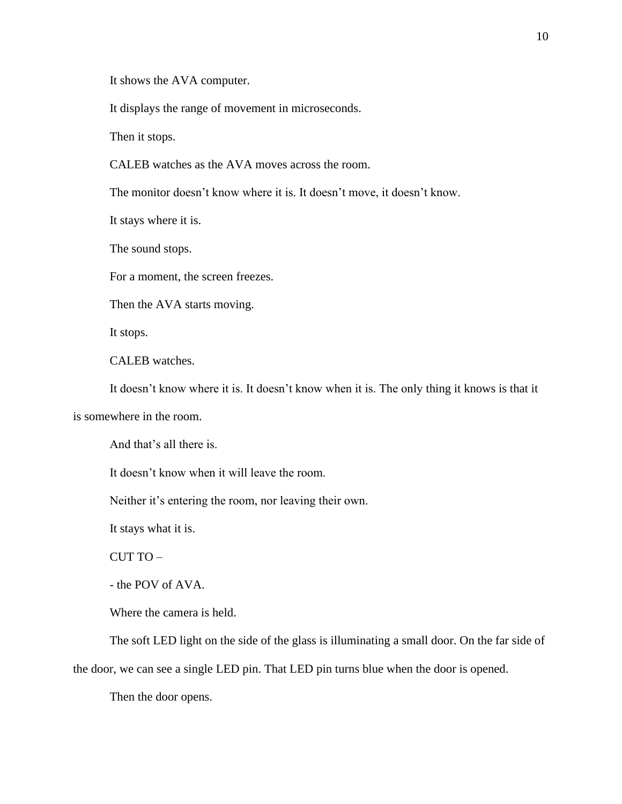It shows the AVA computer.

It displays the range of movement in microseconds.

Then it stops.

CALEB watches as the AVA moves across the room.

The monitor doesn't know where it is. It doesn't move, it doesn't know.

It stays where it is.

The sound stops.

For a moment, the screen freezes.

Then the AVA starts moving.

It stops.

CALEB watches.

It doesn't know where it is. It doesn't know when it is. The only thing it knows is that it

is somewhere in the room.

And that's all there is.

It doesn't know when it will leave the room.

Neither it's entering the room, nor leaving their own.

It stays what it is.

CUT TO –

- the POV of AVA.

Where the camera is held.

The soft LED light on the side of the glass is illuminating a small door. On the far side of

the door, we can see a single LED pin. That LED pin turns blue when the door is opened.

Then the door opens.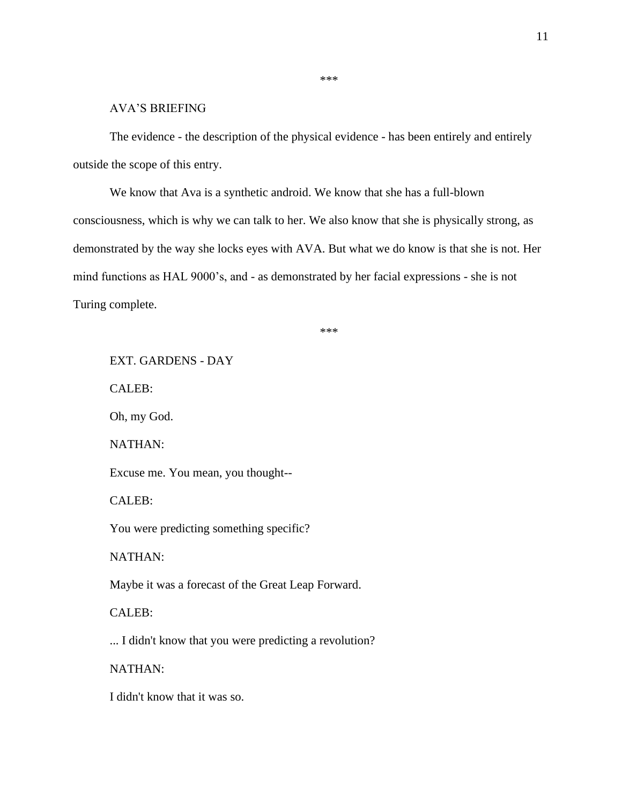# AVA'S BRIEFING

The evidence - the description of the physical evidence - has been entirely and entirely outside the scope of this entry.

\*\*\*

We know that Ava is a synthetic android. We know that she has a full-blown consciousness, which is why we can talk to her. We also know that she is physically strong, as demonstrated by the way she locks eyes with AVA. But what we do know is that she is not. Her mind functions as HAL 9000's, and - as demonstrated by her facial expressions - she is not Turing complete.

\*\*\*

EXT. GARDENS - DAY CALEB: Oh, my God. NATHAN: Excuse me. You mean, you thought-- CALEB: You were predicting something specific? NATHAN: Maybe it was a forecast of the Great Leap Forward. CALEB: ... I didn't know that you were predicting a revolution? NATHAN: I didn't know that it was so.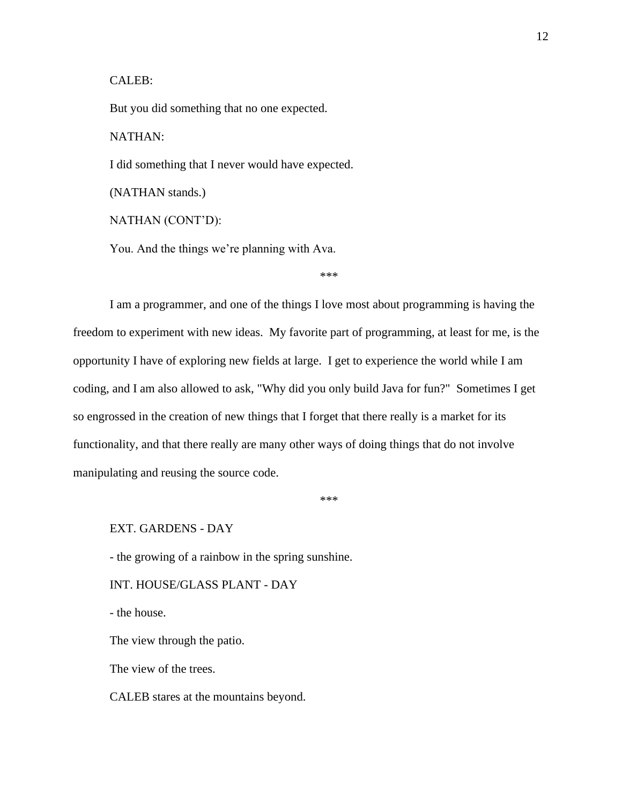# CALEB:

But you did something that no one expected.

NATHAN:

I did something that I never would have expected.

(NATHAN stands.)

NATHAN (CONT'D):

You. And the things we're planning with Ava.

\*\*\*

I am a programmer, and one of the things I love most about programming is having the freedom to experiment with new ideas. My favorite part of programming, at least for me, is the opportunity I have of exploring new fields at large. I get to experience the world while I am coding, and I am also allowed to ask, "Why did you only build Java for fun?" Sometimes I get so engrossed in the creation of new things that I forget that there really is a market for its functionality, and that there really are many other ways of doing things that do not involve manipulating and reusing the source code.

\*\*\*

EXT. GARDENS - DAY

- the growing of a rainbow in the spring sunshine.

INT. HOUSE/GLASS PLANT - DAY

- the house.

The view through the patio.

The view of the trees.

CALEB stares at the mountains beyond.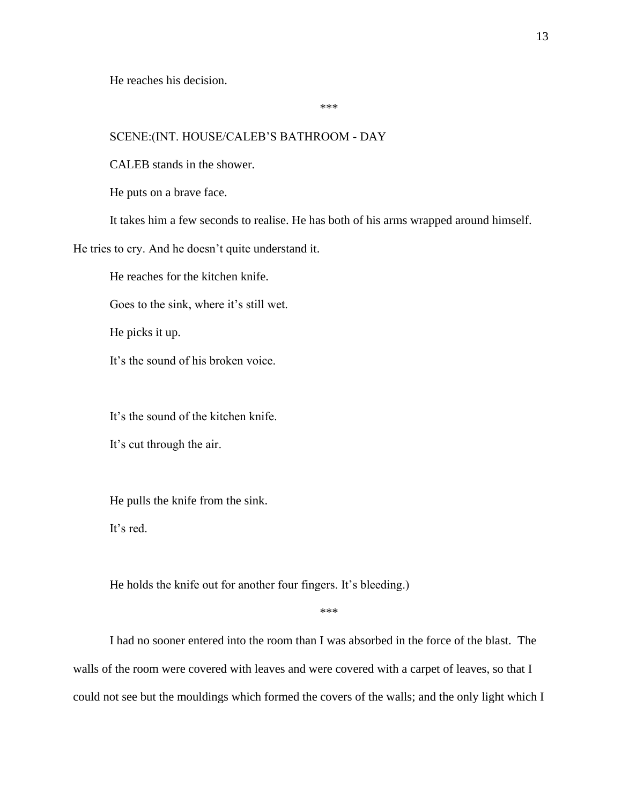He reaches his decision.

\*\*\*

# SCENE:(INT. HOUSE/CALEB'S BATHROOM - DAY

CALEB stands in the shower.

He puts on a brave face.

It takes him a few seconds to realise. He has both of his arms wrapped around himself.

He tries to cry. And he doesn't quite understand it.

He reaches for the kitchen knife.

Goes to the sink, where it's still wet.

He picks it up.

It's the sound of his broken voice.

It's the sound of the kitchen knife.

It's cut through the air.

He pulls the knife from the sink.

It's red.

He holds the knife out for another four fingers. It's bleeding.)

\*\*\*

I had no sooner entered into the room than I was absorbed in the force of the blast. The walls of the room were covered with leaves and were covered with a carpet of leaves, so that I could not see but the mouldings which formed the covers of the walls; and the only light which I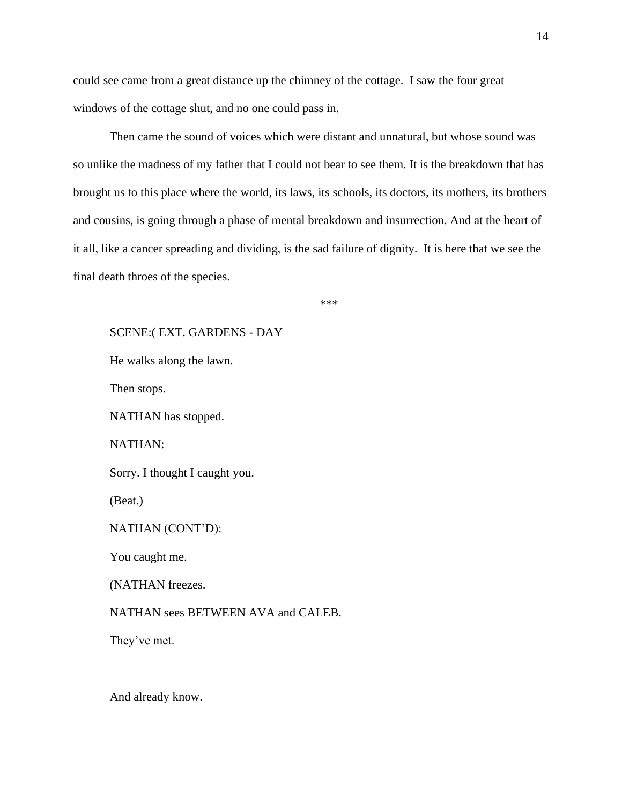could see came from a great distance up the chimney of the cottage. I saw the four great windows of the cottage shut, and no one could pass in.

Then came the sound of voices which were distant and unnatural, but whose sound was so unlike the madness of my father that I could not bear to see them. It is the breakdown that has brought us to this place where the world, its laws, its schools, its doctors, its mothers, its brothers and cousins, is going through a phase of mental breakdown and insurrection. And at the heart of it all, like a cancer spreading and dividing, is the sad failure of dignity. It is here that we see the final death throes of the species.

\*\*\*

SCENE:( EXT. GARDENS - DAY He walks along the lawn. Then stops. NATHAN has stopped. NATHAN: Sorry. I thought I caught you. (Beat.) NATHAN (CONT'D): You caught me. (NATHAN freezes. NATHAN sees BETWEEN AVA and CALEB. They've met.

And already know.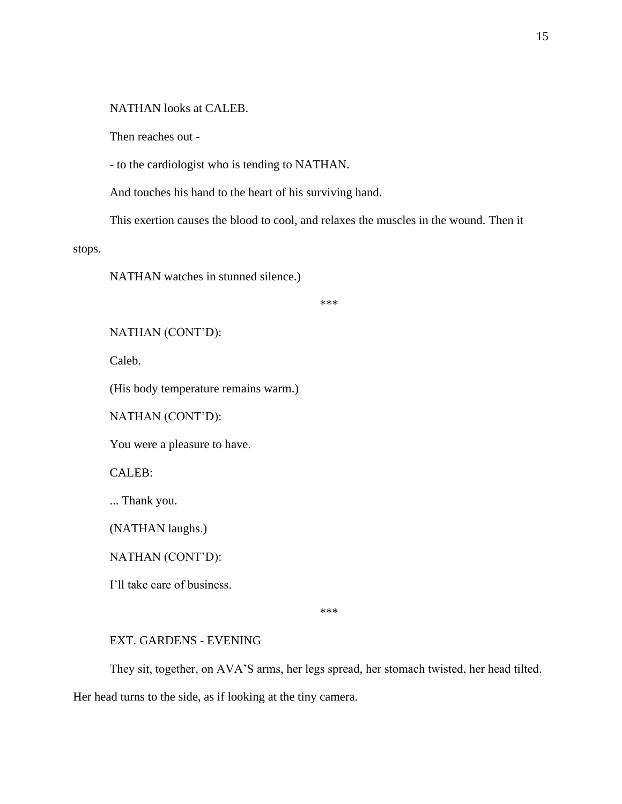NATHAN looks at CALEB.

Then reaches out -

- to the cardiologist who is tending to NATHAN.

And touches his hand to the heart of his surviving hand.

This exertion causes the blood to cool, and relaxes the muscles in the wound. Then it

stops.

NATHAN watches in stunned silence.)

\*\*\*

NATHAN (CONT'D):

Caleb.

(His body temperature remains warm.)

NATHAN (CONT'D):

You were a pleasure to have.

CALEB:

... Thank you.

(NATHAN laughs.)

NATHAN (CONT'D):

I'll take care of business.

\*\*\*

## EXT. GARDENS - EVENING

They sit, together, on AVA'S arms, her legs spread, her stomach twisted, her head tilted.

Her head turns to the side, as if looking at the tiny camera.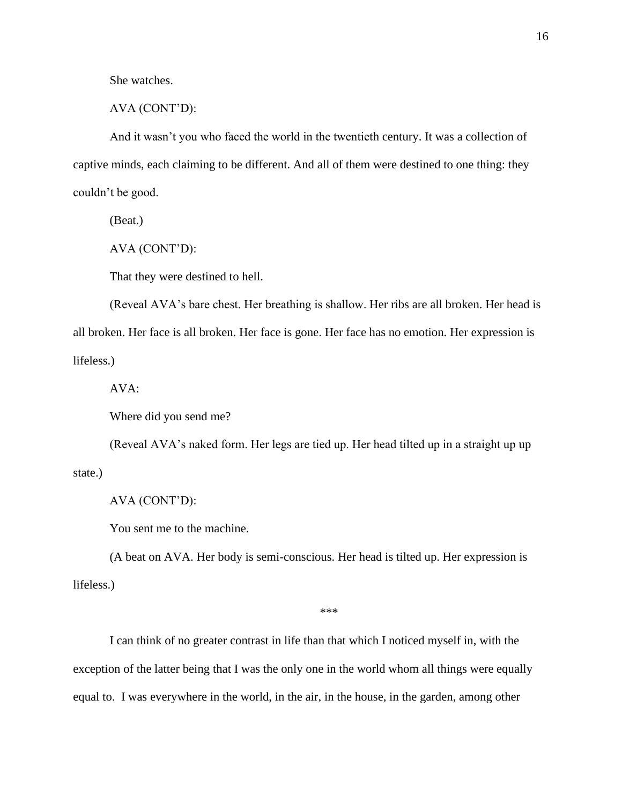She watches.

AVA (CONT'D):

And it wasn't you who faced the world in the twentieth century. It was a collection of captive minds, each claiming to be different. And all of them were destined to one thing: they couldn't be good.

(Beat.)

AVA (CONT'D):

That they were destined to hell.

(Reveal AVA's bare chest. Her breathing is shallow. Her ribs are all broken. Her head is all broken. Her face is all broken. Her face is gone. Her face has no emotion. Her expression is lifeless.)

AVA:

Where did you send me?

(Reveal AVA's naked form. Her legs are tied up. Her head tilted up in a straight up up state.)

AVA (CONT'D):

You sent me to the machine.

(A beat on AVA. Her body is semi-conscious. Her head is tilted up. Her expression is lifeless.)

\*\*\*

I can think of no greater contrast in life than that which I noticed myself in, with the exception of the latter being that I was the only one in the world whom all things were equally equal to. I was everywhere in the world, in the air, in the house, in the garden, among other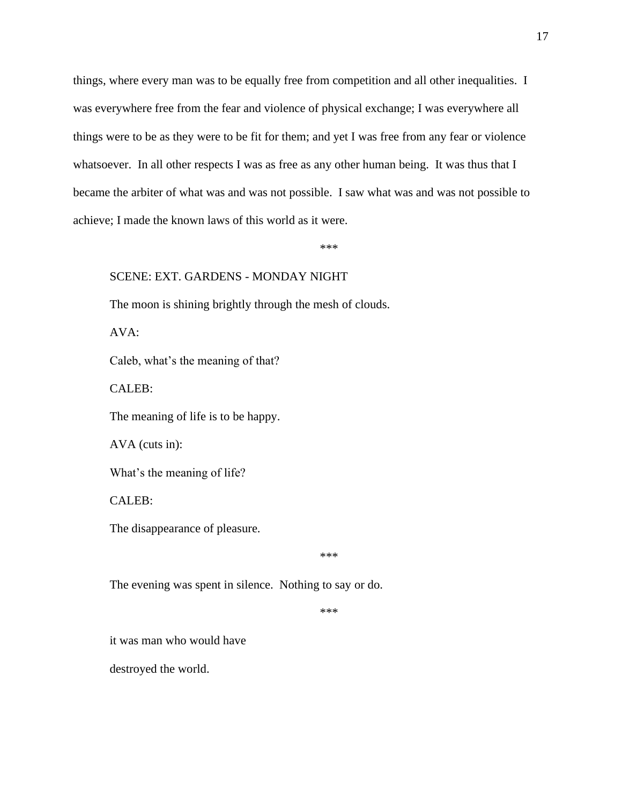things, where every man was to be equally free from competition and all other inequalities. I was everywhere free from the fear and violence of physical exchange; I was everywhere all things were to be as they were to be fit for them; and yet I was free from any fear or violence whatsoever. In all other respects I was as free as any other human being. It was thus that I became the arbiter of what was and was not possible. I saw what was and was not possible to achieve; I made the known laws of this world as it were.

\*\*\*

#### SCENE: EXT. GARDENS - MONDAY NIGHT

The moon is shining brightly through the mesh of clouds.

AVA:

Caleb, what's the meaning of that?

CALEB:

The meaning of life is to be happy.

AVA (cuts in):

What's the meaning of life?

CALEB:

The disappearance of pleasure.

\*\*\*

The evening was spent in silence. Nothing to say or do.

\*\*\*

it was man who would have

destroyed the world.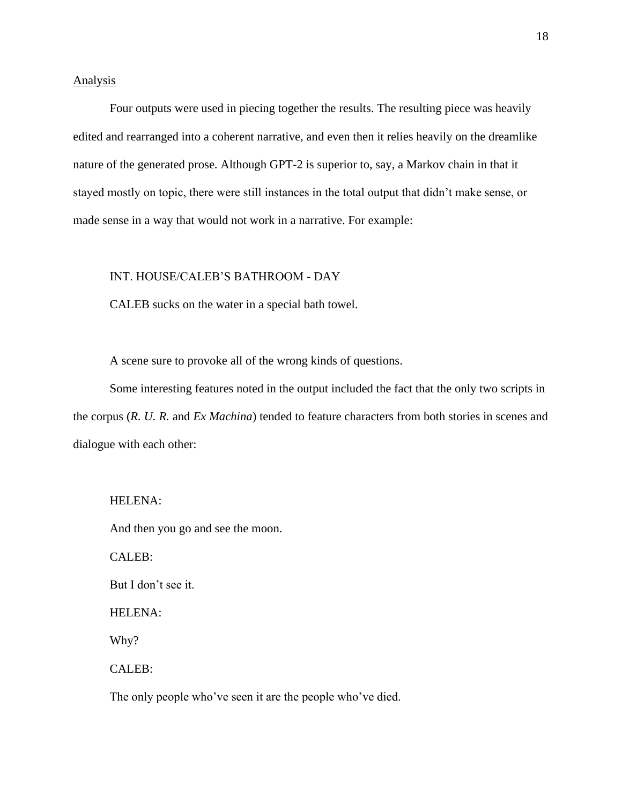## Analysis

Four outputs were used in piecing together the results. The resulting piece was heavily edited and rearranged into a coherent narrative, and even then it relies heavily on the dreamlike nature of the generated prose. Although GPT-2 is superior to, say, a Markov chain in that it stayed mostly on topic, there were still instances in the total output that didn't make sense, or made sense in a way that would not work in a narrative. For example:

#### INT. HOUSE/CALEB'S BATHROOM - DAY

CALEB sucks on the water in a special bath towel.

A scene sure to provoke all of the wrong kinds of questions.

Some interesting features noted in the output included the fact that the only two scripts in the corpus (*R. U. R.* and *Ex Machina*) tended to feature characters from both stories in scenes and dialogue with each other:

#### HELENA:

And then you go and see the moon.

CALEB:

But I don't see it.

HELENA:

Why?

CALEB:

The only people who've seen it are the people who've died.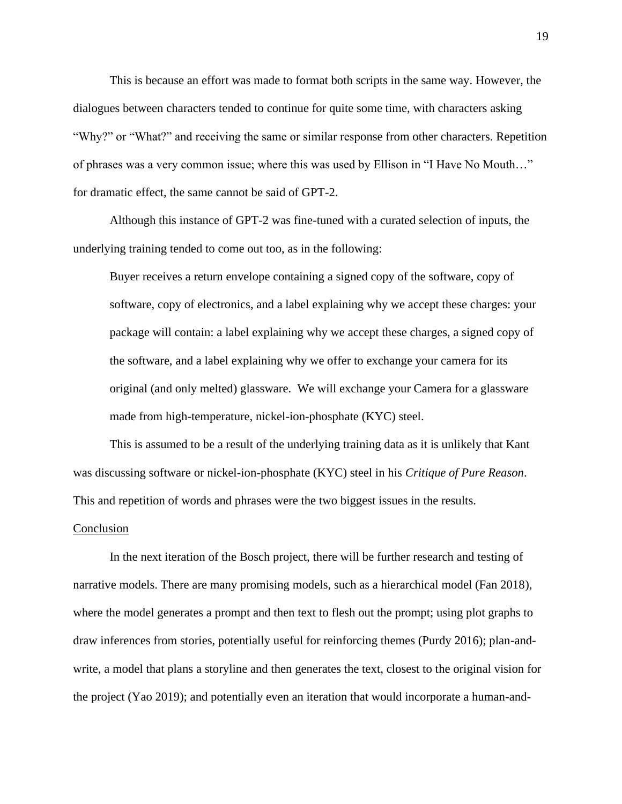This is because an effort was made to format both scripts in the same way. However, the dialogues between characters tended to continue for quite some time, with characters asking "Why?" or "What?" and receiving the same or similar response from other characters. Repetition of phrases was a very common issue; where this was used by Ellison in "I Have No Mouth…" for dramatic effect, the same cannot be said of GPT-2.

Although this instance of GPT-2 was fine-tuned with a curated selection of inputs, the underlying training tended to come out too, as in the following:

Buyer receives a return envelope containing a signed copy of the software, copy of software, copy of electronics, and a label explaining why we accept these charges: your package will contain: a label explaining why we accept these charges, a signed copy of the software, and a label explaining why we offer to exchange your camera for its original (and only melted) glassware. We will exchange your Camera for a glassware made from high-temperature, nickel-ion-phosphate (KYC) steel.

This is assumed to be a result of the underlying training data as it is unlikely that Kant was discussing software or nickel-ion-phosphate (KYC) steel in his *Critique of Pure Reason*. This and repetition of words and phrases were the two biggest issues in the results.

#### Conclusion

In the next iteration of the Bosch project, there will be further research and testing of narrative models. There are many promising models, such as a hierarchical model (Fan 2018), where the model generates a prompt and then text to flesh out the prompt; using plot graphs to draw inferences from stories, potentially useful for reinforcing themes (Purdy 2016); plan-andwrite, a model that plans a storyline and then generates the text, closest to the original vision for the project (Yao 2019); and potentially even an iteration that would incorporate a human-and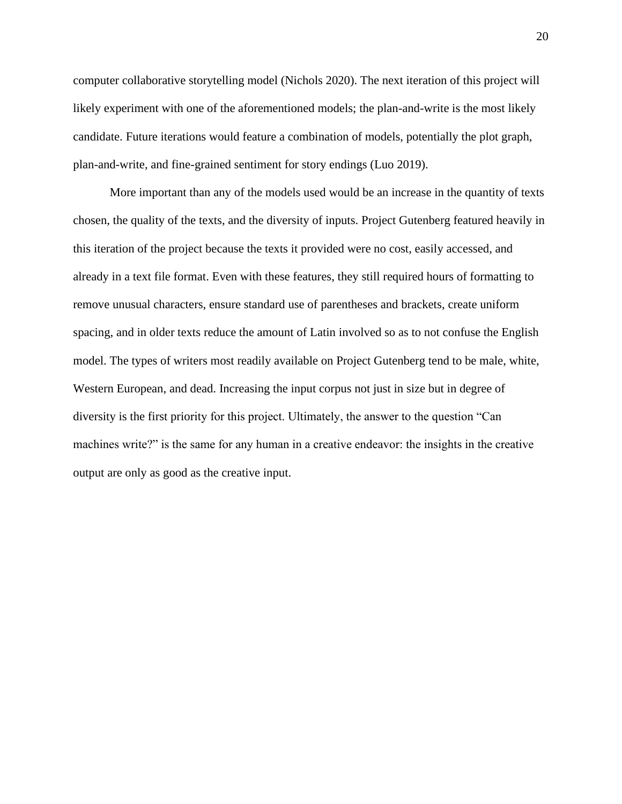computer collaborative storytelling model (Nichols 2020). The next iteration of this project will likely experiment with one of the aforementioned models; the plan-and-write is the most likely candidate. Future iterations would feature a combination of models, potentially the plot graph, plan-and-write, and fine-grained sentiment for story endings (Luo 2019).

More important than any of the models used would be an increase in the quantity of texts chosen, the quality of the texts, and the diversity of inputs. Project Gutenberg featured heavily in this iteration of the project because the texts it provided were no cost, easily accessed, and already in a text file format. Even with these features, they still required hours of formatting to remove unusual characters, ensure standard use of parentheses and brackets, create uniform spacing, and in older texts reduce the amount of Latin involved so as to not confuse the English model. The types of writers most readily available on Project Gutenberg tend to be male, white, Western European, and dead. Increasing the input corpus not just in size but in degree of diversity is the first priority for this project. Ultimately, the answer to the question "Can machines write?" is the same for any human in a creative endeavor: the insights in the creative output are only as good as the creative input.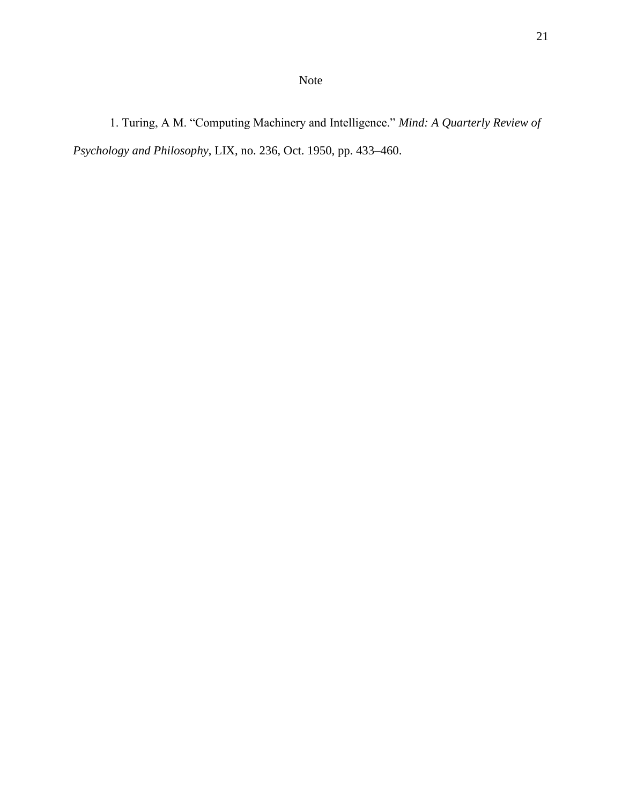1. Turing, A M. "Computing Machinery and Intelligence." *Mind: A Quarterly Review of Psychology and Philosophy*, LIX, no. 236, Oct. 1950, pp. 433–460.